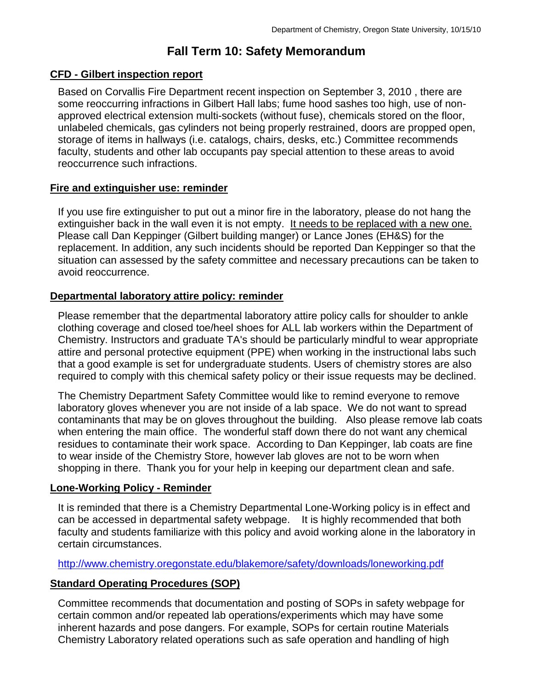# **Fall Term 10: Safety Memorandum**

## **CFD - Gilbert inspection report**

Based on Corvallis Fire Department recent inspection on September 3, 2010 , there are some reoccurring infractions in Gilbert Hall labs; fume hood sashes too high, use of nonapproved electrical extension multi-sockets (without fuse), chemicals stored on the floor, unlabeled chemicals, gas cylinders not being properly restrained, doors are propped open, storage of items in hallways (i.e. catalogs, chairs, desks, etc.) Committee recommends faculty, students and other lab occupants pay special attention to these areas to avoid reoccurrence such infractions.

#### **Fire and extinguisher use: reminder**

If you use fire extinguisher to put out a minor fire in the laboratory, please do not hang the extinguisher back in the wall even it is not empty. It needs to be replaced with a new one. Please call Dan Keppinger (Gilbert building manger) or Lance Jones (EH&S) for the replacement. In addition, any such incidents should be reported Dan Keppinger so that the situation can assessed by the safety committee and necessary precautions can be taken to avoid reoccurrence.

### **Departmental laboratory attire policy: reminder**

Please remember that the departmental laboratory attire policy calls for shoulder to ankle clothing coverage and closed toe/heel shoes for ALL lab workers within the Department of Chemistry. Instructors and graduate TA's should be particularly mindful to wear appropriate attire and personal protective equipment (PPE) when working in the instructional labs such that a good example is set for undergraduate students. Users of chemistry stores are also required to comply with this chemical safety policy or their issue requests may be declined.

The Chemistry Department Safety Committee would like to remind everyone to remove laboratory gloves whenever you are not inside of a lab space. We do not want to spread contaminants that may be on gloves throughout the building. Also please remove lab coats when entering the main office. The wonderful staff down there do not want any chemical residues to contaminate their work space. According to Dan Keppinger, lab coats are fine to wear inside of the Chemistry Store, however lab gloves are not to be worn when shopping in there. Thank you for your help in keeping our department clean and safe.

# **Lone-Working Policy - Reminder**

It is reminded that there is a Chemistry Departmental Lone-Working policy is in effect and can be accessed in departmental safety webpage. It is highly recommended that both faculty and students familiarize with this policy and avoid working alone in the laboratory in certain circumstances.

<http://www.chemistry.oregonstate.edu/blakemore/safety/downloads/loneworking.pdf>

#### **Standard Operating Procedures (SOP)**

Committee recommends that documentation and posting of SOPs in safety webpage for certain common and/or repeated lab operations/experiments which may have some inherent hazards and pose dangers. For example, SOPs for certain routine Materials Chemistry Laboratory related operations such as safe operation and handling of high